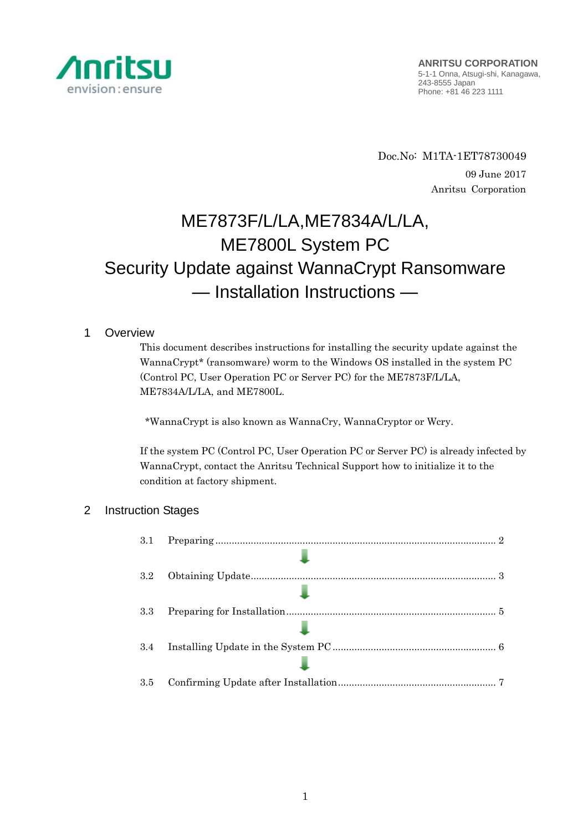

Doc.No: M1TA-1ET78730049 09 June 2017 Anritsu Corporation

# ME7873F/L/LA,ME7834A/L/LA, ME7800L System PC Security Update against WannaCrypt Ransomware — Installation Instructions —

# 1 Overview

This document describes instructions for installing the security update against the WannaCrypt\* (ransomware) worm to the Windows OS installed in the system PC (Control PC, User Operation PC or Server PC) for the ME7873F/L/LA, ME7834A/L/LA, and ME7800L.

\*WannaCrypt is also known as WannaCry, WannaCryptor or Wcry.

If the system PC (Control PC, User Operation PC or Server PC) is already infected by WannaCrypt, contact the Anritsu Technical Support how to initialize it to the condition at factory shipment.

# 2 Instruction Stages

| 3.1     |  |
|---------|--|
|         |  |
| $3.2\,$ |  |
|         |  |
| 3.3     |  |
|         |  |
| 3.4     |  |
|         |  |
| 3.5     |  |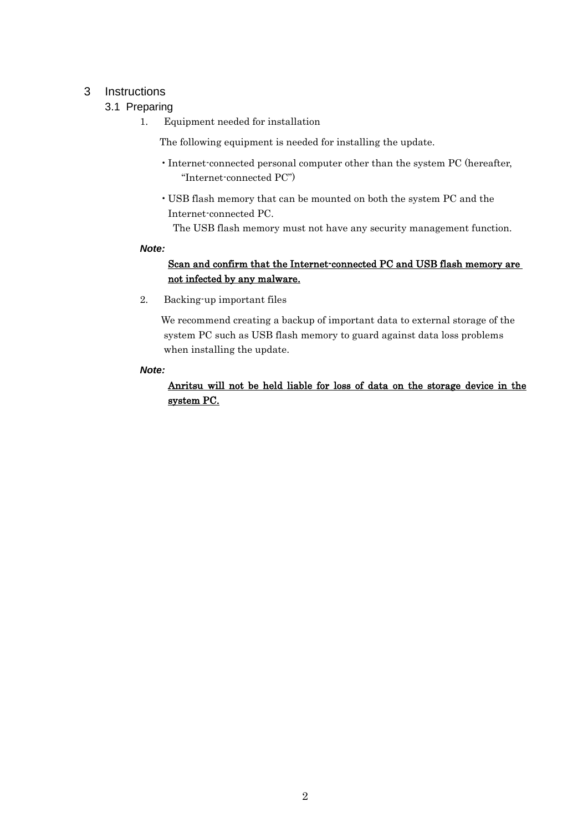# <span id="page-1-1"></span><span id="page-1-0"></span>3 Instructions

# 3.1 Preparing

1. Equipment needed for installation

The following equipment is needed for installing the update.

- •Internet-connected personal computer other than the system PC (hereafter, "Internet-connected PC")
- USB flash memory that can be mounted on both the system PC and the Internet-connected PC.

The USB flash memory must not have any security management function.

#### *Note:*

# Scan and confirm that the Internet-connected PC and USB flash memory are not infected by any malware.

2. Backing-up important files

We recommend creating a backup of important data to external storage of the system PC such as USB flash memory to guard against data loss problems when installing the update.

## *Note:*

Anritsu will not be held liable for loss of data on the storage device in the system PC.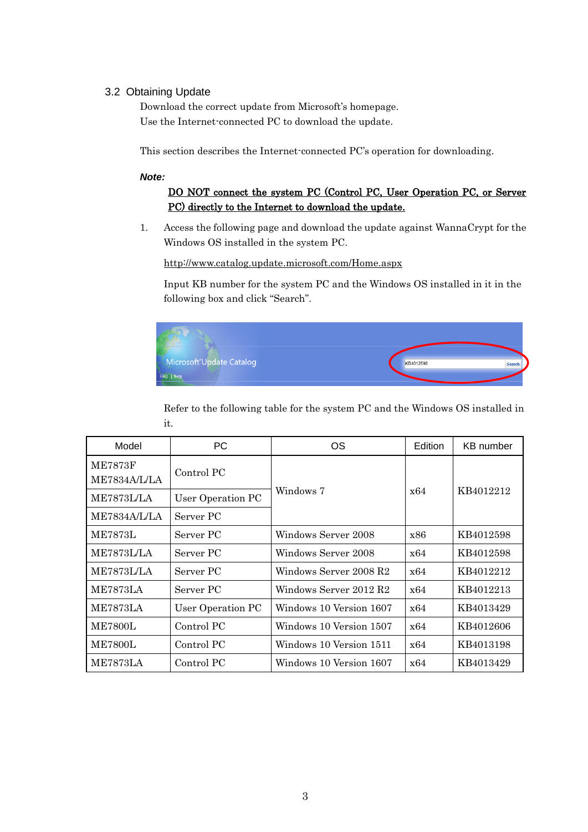## <span id="page-2-0"></span>3.2 Obtaining Update

Download the correct update from Microsoft's homepage. Use the Internet-connected PC to download the update.

This section describes the Internet-connected PC's operation for downloading.

#### *Note:*

# DO NOT connect the system PC (Control PC, User Operation PC, or Server PC) directly to the Internet to download the update.

1. Access the following page and download the update against WannaCrypt for the Windows OS installed in the system PC.

<http://www.catalog.update.microsoft.com/Home.aspx>

Input KB number for the system PC and the Windows OS installed in it in the following box and click "Search".



Refer to the following table for the system PC and the Windows OS installed in it.

| Model                                 | PC.               | OS                      | Edition | KB number |  |
|---------------------------------------|-------------------|-------------------------|---------|-----------|--|
| <b>ME7873F</b><br><b>ME7834A/L/LA</b> | Control PC        |                         |         |           |  |
| ME7873L/LA                            | User Operation PC | Windows 7               | x64     | KB4012212 |  |
| <b>ME7834A/L/LA</b>                   | Server PC         |                         |         |           |  |
| <b>ME7873L</b>                        | Server PC         | Windows Server 2008     | x86     | KB4012598 |  |
| <b>ME7873L/LA</b>                     | Server PC         | Windows Server 2008     | x64     | KB4012598 |  |
| <b>ME7873L/LA</b>                     | Server PC         | Windows Server 2008 R2  | x64     | KB4012212 |  |
| ME7873LA                              | Server PC         | Windows Server 2012 R2  | x64     | KB4012213 |  |
| ME7873LA                              | User Operation PC | Windows 10 Version 1607 | x64     | KB4013429 |  |
| <b>ME7800L</b>                        | Control PC        | Windows 10 Version 1507 | x64     | KB4012606 |  |
| <b>ME7800L</b>                        | Control PC        | Windows 10 Version 1511 | x64     | KB4013198 |  |
| <b>ME7873LA</b>                       | Control PC        | Windows 10 Version 1607 | x64     | KB4013429 |  |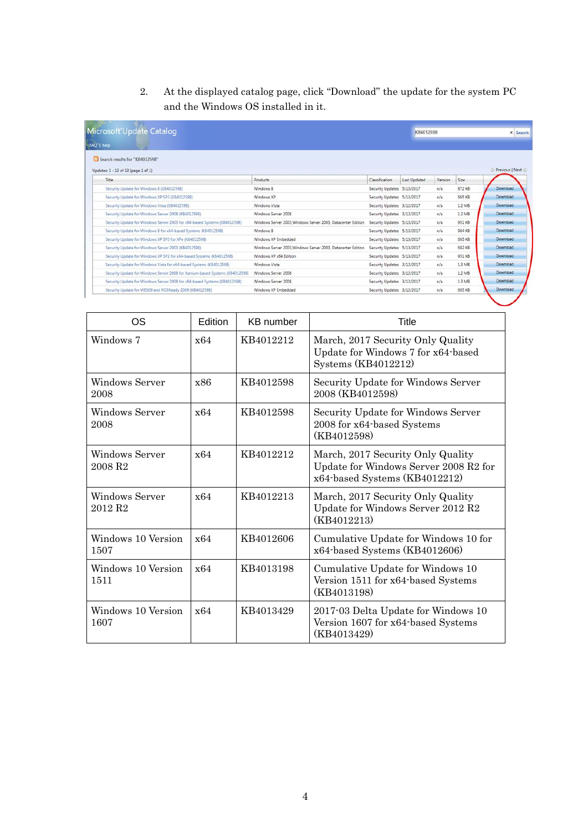2. At the displayed catalog page, click "Download" the update for the system PC and the Windows OS installed in it.

| <b>Microsoft Update Catalog</b>                                               |                                                              |                            |              | KB4012598 |          | x Search        |
|-------------------------------------------------------------------------------|--------------------------------------------------------------|----------------------------|--------------|-----------|----------|-----------------|
| FAQ 1 help                                                                    |                                                              |                            |              |           |          |                 |
| Search results for "KB4012598"                                                |                                                              |                            |              |           |          |                 |
| Updates: 1 - 13 of 13 (page 1 of 1)                                           |                                                              |                            |              |           |          | Previous   Next |
| Title                                                                         | <b>Products</b>                                              | Classification             | Last Updated | Version   | Size     |                 |
| Security Update for Windows 8 (KB4012598)                                     | Windows 8                                                    | Security Updates 5/13/2017 |              | n/a       | 872 KB   | Download        |
| Security Update for Windows XP SP3 (KB4012598)                                | Windows XP                                                   | Security Updates 5/13/2017 |              | n/a       | 665 KB   | Download        |
| Security Update for Windows Vista (KB4012598)                                 | Windows Vista                                                | Security Updates 3/12/2017 |              | n/a       | $1.2$ MB | Download        |
| Security Update for Windows Server 2008 (KB4012598)                           | Windows Server 2008                                          | Security Updates 3/12/2017 |              | n/a       | 1.2 MB   | Download        |
| Security Update for Windows Server 2003 for x64-based Systems (KB4012598)     | Windows Server 2003. Windows Server 2003. Datacenter Edition | Security Updates 5/13/2017 |              | n/a       | 951 KB   | Download        |
| Security Update for Windows 8 for x64-based Systems (KB4012598)               | Windows 8                                                    | Security Updates 5/13/2017 |              | n/a       | 984 KB   | Download        |
| Security Update for Windows XP SP3 for XPe (KB4012598)                        | Windows XP Embedded                                          | Security Updates 5/13/2017 |              | n/a       | 665 KB   | Download        |
| Security Update for Windows Server 2003 (KB4012598)                           | Windows Server 2003. Windows Server 2003. Datacenter Edition | Security Updates 5/13/2017 |              | n/a       | 682 KB   | Download        |
| Security Update for Windows XP SP2 for x64-based Systems (KB4012598)          | Windows XP x64 Edition                                       | Security Updates 5/13/2017 |              | n/a       | 951 KB   | Download        |
| Security Update for Windows Vista for x64-based Systems (KB4012598)           | Windows Vista                                                | Security Updates 3/12/2017 |              | n/a       | $1.3$ MB | Download        |
| Security Update for Windows Server 2008 for Itanium-based Systems (KB4012598) | Windows Server 2008                                          | Security Updates 3/12/2017 |              | n/s       | $1.2$ MB | Download        |
| Security Update for Windows Server 2008 for x64-based Systems (KB4012598)     | Windows Server 2008                                          | Security Updates 3/12/2017 |              | n/a       | $1.3$ MB | Download        |
| Security Update for WES09 and POSReady 2009 (K84012598)                       | Windows XP Embedded                                          | Security Updates 3/12/2017 |              | n/a       | 665 KB   | Download        |

| OS                                           | Edition | <b>KB</b> number | <b>Title</b>                                                                                                |
|----------------------------------------------|---------|------------------|-------------------------------------------------------------------------------------------------------------|
| Windows 7                                    | x64     | KB4012212        | March, 2017 Security Only Quality<br>Update for Windows 7 for x64-based<br>Systems (KB4012212)              |
| Windows Server<br>2008                       | x86     | KB4012598        | Security Update for Windows Server<br>2008 (KB4012598)                                                      |
| Windows Server<br>2008                       | x64     | KB4012598        | Security Update for Windows Server<br>2008 for x64-based Systems<br>(KB4012598)                             |
| Windows Server<br>2008 R <sub>2</sub>        | x64     | KB4012212        | March, 2017 Security Only Quality<br>Update for Windows Server 2008 R2 for<br>x64-based Systems (KB4012212) |
| <b>Windows Server</b><br>2012 R <sub>2</sub> | x64     | KB4012213        | March, 2017 Security Only Quality<br>Update for Windows Server 2012 R2<br>(KB4012213)                       |
| Windows 10 Version<br>1507                   | x64     | KB4012606        | Cumulative Update for Windows 10 for<br>x64-based Systems (KB4012606)                                       |
| Windows 10 Version<br>1511                   | x64     | KB4013198        | Cumulative Update for Windows 10<br>Version 1511 for x64-based Systems<br>(KB4013198)                       |
| Windows 10 Version<br>1607                   | x64     | KB4013429        | 2017-03 Delta Update for Windows 10<br>Version 1607 for x64-based Systems<br>(KB4013429)                    |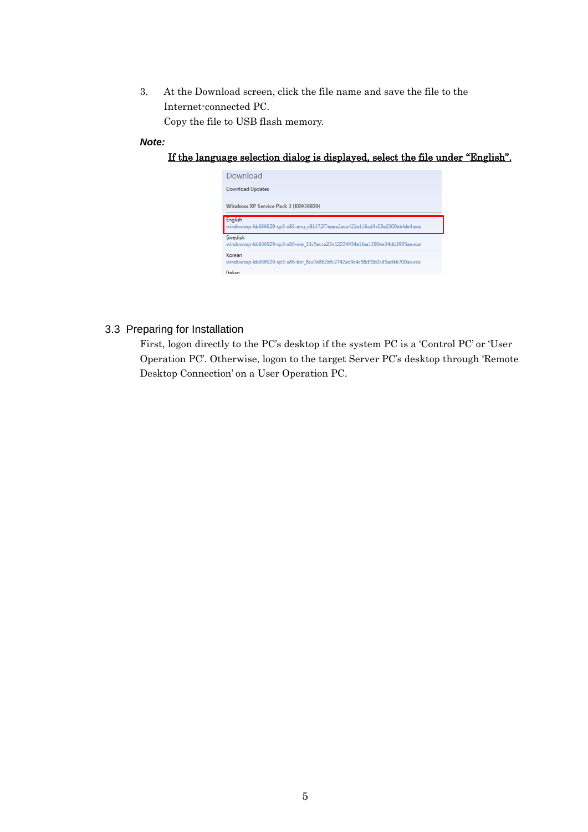3. At the Download screen, click the file name and save the file to the Internet-connected PC. Copy the file to USB flash memory.

#### *Note:*

## If the language selection dialog is displayed, select the file under "English".



## <span id="page-4-0"></span>3.3 Preparing for Installation

First, logon directly to the PC's desktop if the system PC is a 'Control PC' or 'User Operation PC'. Otherwise, logon to the target Server PC's desktop through 'Remote Desktop Connection' on a User Operation PC.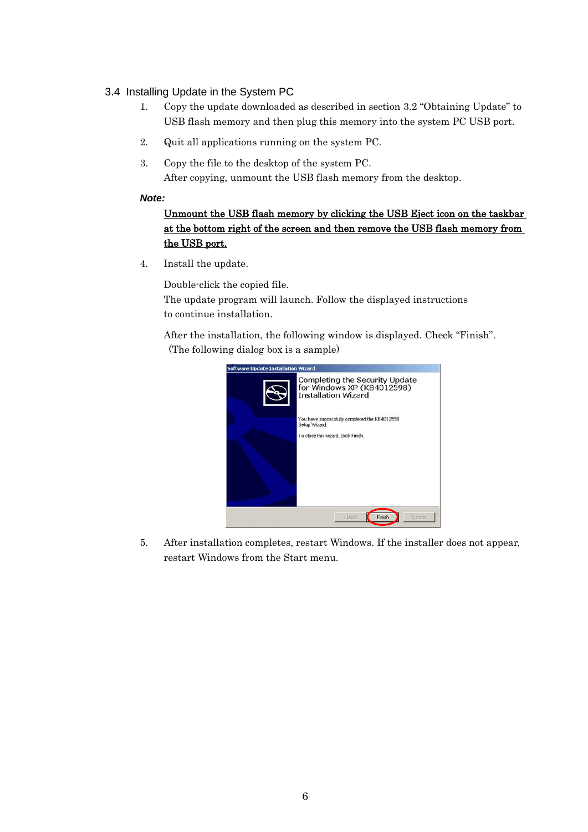## <span id="page-5-0"></span>3.4 Installing Update in the System PC

- 1. Copy the update downloaded as described in section [3.2](#page-2-0) "[Obtaining Update](#page-2-0)" to USB flash memory and then plug this memory into the system PC USB port.
- 2. Quit all applications running on the system PC.
- 3. Copy the file to the desktop of the system PC. After copying, unmount the USB flash memory from the desktop.

## *Note:*

# Unmount the USB flash memory by clicking the USB Eject icon on the taskbar at the bottom right of the screen and then remove the USB flash memory from the USB port.

4. Install the update.

Double-click the copied file.

The update program will launch. Follow the displayed instructions to continue installation.

After the installation, the following window is displayed. Check "Finish". (The following dialog box is a sample)



5. After installation completes, restart Windows. If the installer does not appear, restart Windows from the Start menu.